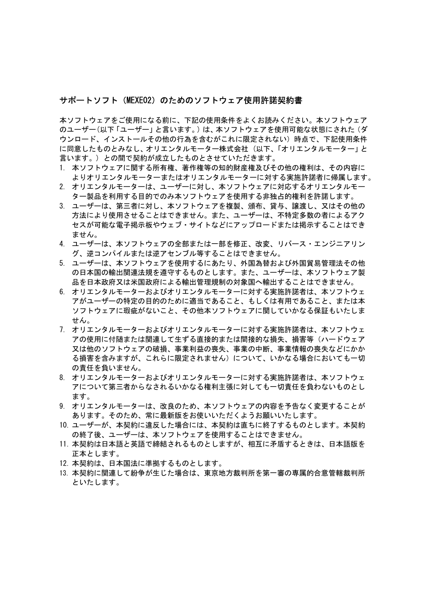## サポートソフト(MEXEO2)のためのソフトウェア使用許諾契約書

本ソフトウェアをご使用になる前に、下記の使用条件をよくお読みください。本ソフトウェア のユーザー(以下「ユーザー」と言います。)は、本ソフトウェアを使用可能な状態にされた(ダ ウンロード、インストールその他の行為を含むがこれに限定されない)時点で、下記使用条件 に同意したものとみなし、オリエンタルモーター株式会社 (以下、「オリエンタルモーター」と 言います。) との間で契約が成立したものとさせていただきます。

- 1. 本ソフトウェアに関する所有権、著作権等の知的財産権及びその他の権利は、その内容に よりオリエンタルモーターまたはオリエンタルモーターに対する実施許諾者に帰属します。
- 2. オリエンタルモーターは、ユーザーに対し、本ソフトウェアに対応するオリエンタルモー ター製品を利用する目的でのみ本ソフトウェアを使用する非独占的権利を許諾します。
- 3. ユーザーは、第三者に対し、本ソフトウェアを複製、頒布、貸与、譲渡し、又はその他の 方法により使用させることはできません。また、ユーザーは、不特定多数の者によるアク セスが可能な電子掲示板やウェブ・サイトなどにアップロードまたは掲示することはでき ません。
- 4. ユーザーは、本ソフトウェアの全部または一部を修正、改変、リバース・エンジニアリン グ、逆コンパイルまたは逆アセンブル等することはできません。
- 5. ユーザーは、本ソフトウェアを使用するにあたり、外国為替および外国貿易管理法その他 の日本国の輸出関連法規を遵守するものとします。また、ユーザーは、本ソフトウェア製 品を日本政府又は米国政府による輸出管理規制の対象国へ輸出することはできません。
- 6. オリエンタルモーターおよびオリエンタルモーターに対する実施許諾者は、本ソフトウェ アがユーザーの特定の目的のために適当であること、もしくは有用であること、または本 ソフトウェアに瑕疵がないこと、その他本ソフトウェアに関していかなる保証もいたしま せん。
- 7. オリエンタルモーターおよびオリエンタルモーターに対する実施許諾者は、本ソフトウェ アの使用に付随または関連して生ずる直接的または間接的な損失、損害等(ハードウェア 又は他のソフトウェアの破損、事業利益の喪失、事業の中断、事業情報の喪失などにかか る損害を含みますが、これらに限定されません)について、いかなる場合においても一切 の責任を負いません。
- 8. オリエンタルモーターおよびオリエンタルモーターに対する実施許諾者は、本ソフトウェ アについて第三者からなされるいかなる権利主張に対しても一切責任を負わないものとし ます。
- 9. オリエンタルモーターは、改良のため、本ソフトウェアの内容を予告なく変更することが あります。そのため、常に最新版をお使いいただくようお願いいたします。
- 10. ユーザーが、本契約に違反した場合には、本契約は直ちに終了するものとします。本契約 の終了後、ユーザーは、本ソフトウェアを使用することはできません。
- 11. 本契約は日本語と英語で締結されるものとしますが、相互に矛盾するときは、日本語版を 正本とします。
- 12. 本契約は、日本国法に準拠するものとします。
- 13. 本契約に関連して紛争が生じた場合は、東京地方裁判所を第一審の専属的合意管轄裁判所 といたします。